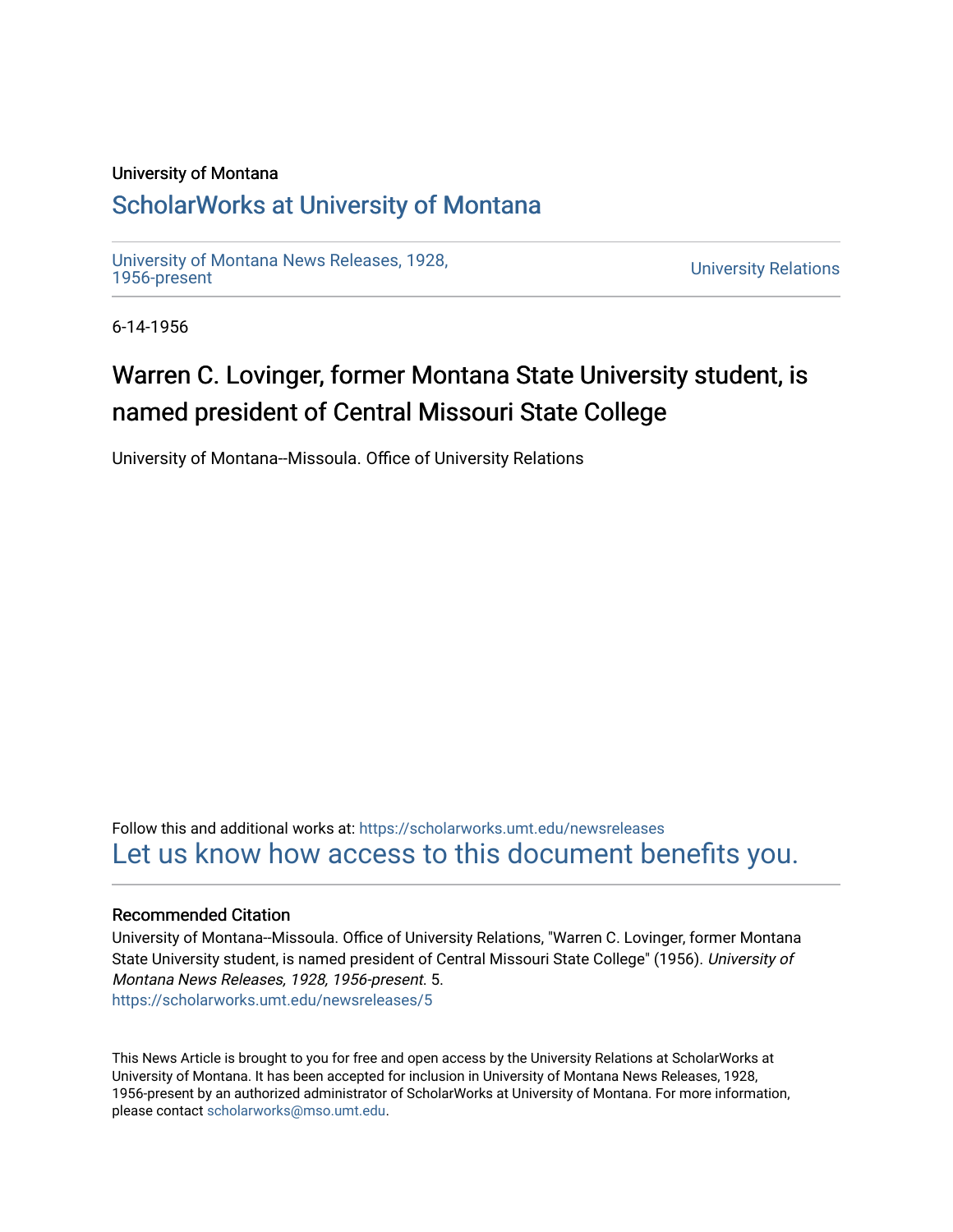## University of Montana

## [ScholarWorks at University of Montana](https://scholarworks.umt.edu/)

[University of Montana News Releases, 1928,](https://scholarworks.umt.edu/newsreleases) 

**University Relations** 

6-14-1956

## Warren C. Lovinger, former Montana State University student, is named president of Central Missouri State College

University of Montana--Missoula. Office of University Relations

Follow this and additional works at: [https://scholarworks.umt.edu/newsreleases](https://scholarworks.umt.edu/newsreleases?utm_source=scholarworks.umt.edu%2Fnewsreleases%2F5&utm_medium=PDF&utm_campaign=PDFCoverPages) [Let us know how access to this document benefits you.](https://goo.gl/forms/s2rGfXOLzz71qgsB2) 

## Recommended Citation

University of Montana--Missoula. Office of University Relations, "Warren C. Lovinger, former Montana State University student, is named president of Central Missouri State College" (1956). University of Montana News Releases, 1928, 1956-present. 5. [https://scholarworks.umt.edu/newsreleases/5](https://scholarworks.umt.edu/newsreleases/5?utm_source=scholarworks.umt.edu%2Fnewsreleases%2F5&utm_medium=PDF&utm_campaign=PDFCoverPages)

This News Article is brought to you for free and open access by the University Relations at ScholarWorks at University of Montana. It has been accepted for inclusion in University of Montana News Releases, 1928, 1956-present by an authorized administrator of ScholarWorks at University of Montana. For more information, please contact [scholarworks@mso.umt.edu.](mailto:scholarworks@mso.umt.edu)